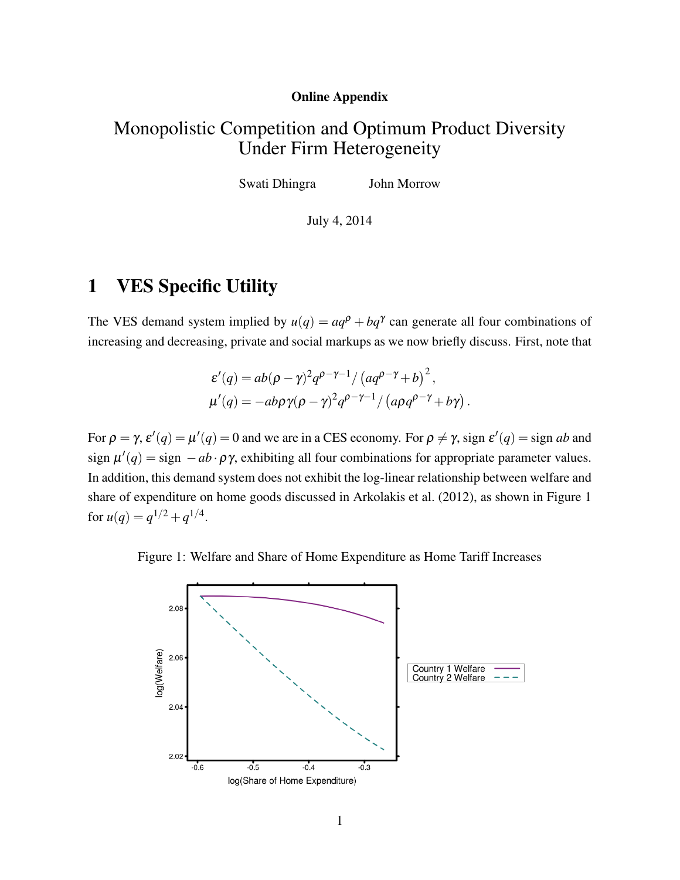#### Online Appendix

## Monopolistic Competition and Optimum Product Diversity Under Firm Heterogeneity

Swati Dhingra John Morrow

July 4, 2014

## 1 VES Specific Utility

The VES demand system implied by  $u(q) = aq^p + bq^{\gamma}$  can generate all four combinations of increasing and decreasing, private and social markups as we now briefly discuss. First, note that

$$
\varepsilon'(q) = ab(\rho - \gamma)^2 q^{\rho - \gamma - 1} / (aq^{\rho - \gamma} + b)^2,
$$
  

$$
\mu'(q) = -ab\rho\gamma(\rho - \gamma)^2 q^{\rho - \gamma - 1} / (a\rho q^{\rho - \gamma} + b\gamma).
$$

For  $\rho = \gamma$ ,  $\varepsilon'(q) = \mu'(q) = 0$  and we are in a CES economy. For  $\rho \neq \gamma$ , sign  $\varepsilon'(q) =$  sign *ab* and sign  $\mu'(q) = \text{sign} - ab \cdot \rho \gamma$ , exhibiting all four combinations for appropriate parameter values. In addition, this demand system does not exhibit the log-linear relationship between welfare and share of expenditure on home goods discussed in [Arkolakis et al.](#page-9-0) [\(2012\)](#page-9-0), as shown in Figure [1](#page-0-0) for  $u(q) = q^{1/2} + q^{1/4}$ .

<span id="page-0-0"></span>Figure 1: Welfare and Share of Home Expenditure as Home Tariff Increases

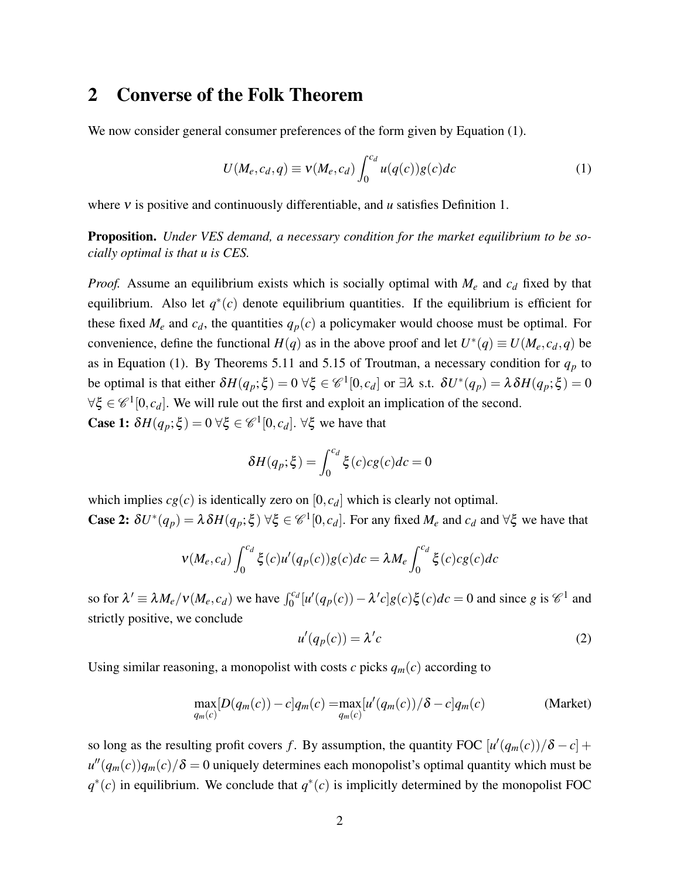### 2 Converse of the Folk Theorem

We now consider general consumer preferences of the form given by Equation [\(1\)](#page-1-0).

<span id="page-1-0"></span>
$$
U(M_e, c_d, q) \equiv v(M_e, c_d) \int_0^{c_d} u(q(c))g(c)dc \qquad (1)
$$

where ν is positive and continuously differentiable, and *u* satisfies Definition 1.

Proposition. *Under VES demand, a necessary condition for the market equilibrium to be socially optimal is that u is CES.*

*Proof.* Assume an equilibrium exists which is socially optimal with *M<sup>e</sup>* and *c<sup>d</sup>* fixed by that equilibrium. Also let  $q^*(c)$  denote equilibrium quantities. If the equilibrium is efficient for these fixed  $M_e$  and  $c_d$ , the quantities  $q_p(c)$  a policymaker would choose must be optimal. For convenience, define the functional  $H(q)$  as in the above proof and let  $U^*(q) \equiv U(M_e, c_d, q)$  be as in Equation [\(1\)](#page-1-0). By Theorems 5.11 and 5.15 of Troutman, a necessary condition for  $q_p$  to be optimal is that either  $\delta H(q_p; \xi) = 0 \ \forall \xi \in \mathcal{C}^1[0, c_d]$  or  $\exists \lambda \text{ s.t. } \delta U^*(q_p) = \lambda \delta H(q_p; \xi) = 0$  $\forall \xi \in \mathscr{C}^1[0,c_d]$ . We will rule out the first and exploit an implication of the second. **Case 1:**  $\delta H(q_p; \xi) = 0 \,\forall \xi \in \mathcal{C}^1[0, c_d]$ .  $\forall \xi$  we have that

$$
\delta H(q_p; \xi) = \int_0^{c_d} \xi(c) c g(c) dc = 0
$$

which implies  $cg(c)$  is identically zero on  $[0, c_d]$  which is clearly not optimal. **Case 2:**  $\delta U^*(q_p) = \lambda \delta H(q_p; \xi)$   $\forall \xi \in \mathcal{C}^1[0, c_d]$ . For any fixed  $M_e$  and  $c_d$  and  $\forall \xi$  we have that

$$
v(M_e, c_d) \int_0^{c_d} \xi(c) u'(q_p(c)) g(c) dc = \lambda M_e \int_0^{c_d} \xi(c) cg(c) dc
$$

so for  $\lambda' \equiv \lambda M_e/v(M_e, c_d)$  we have  $\int_0^{c_d} [u'(q_p(c)) - \lambda' c]g(c)\xi(c)dc = 0$  and since g is  $\mathcal{C}^1$  and strictly positive, we conclude

<span id="page-1-1"></span>
$$
u'(q_p(c)) = \lambda' c \tag{2}
$$

Using similar reasoning, a monopolist with costs  $c$  picks  $q_m(c)$  according to

$$
\max_{q_m(c)}[D(q_m(c)) - c]q_m(c) = \max_{q_m(c)}[u'(q_m(c))/\delta - c]q_m(c)
$$
 (Market)

so long as the resulting profit covers *f*. By assumption, the quantity FOC  $[u'(q_m(c))/\delta - c]$  +  $u''(q_m(c))q_m(c)/\delta = 0$  uniquely determines each monopolist's optimal quantity which must be  $q^*(c)$  in equilibrium. We conclude that  $q^*(c)$  is implicitly determined by the monopolist FOC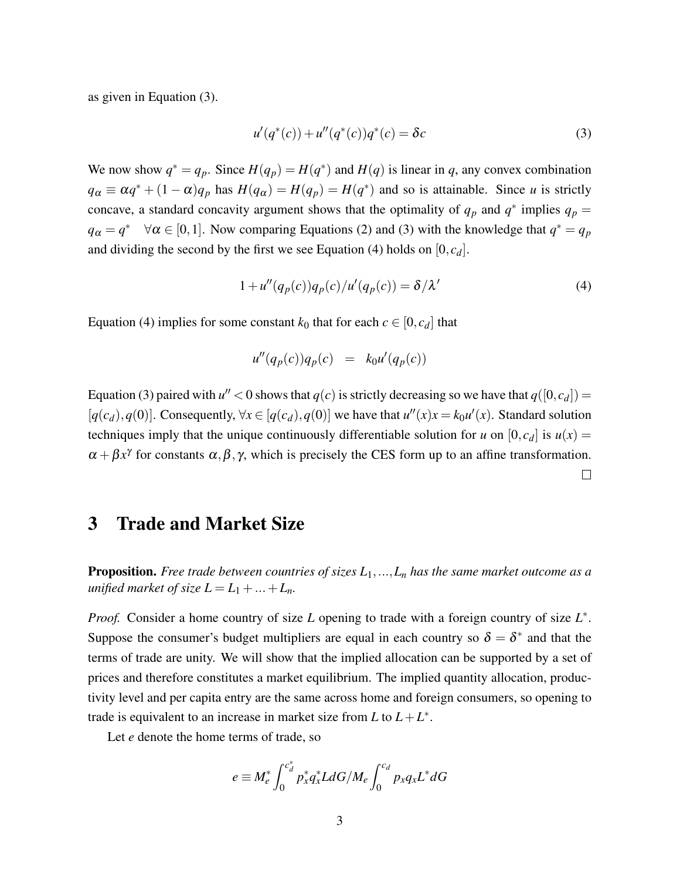as given in Equation [\(3\)](#page-2-0).

<span id="page-2-0"></span>
$$
u'(q^*(c)) + u''(q^*(c))q^*(c) = \delta c \tag{3}
$$

We now show  $q^* = q_p$ . Since  $H(q_p) = H(q^*)$  and  $H(q)$  is linear in *q*, any convex combination  $q_{\alpha} \equiv \alpha q^* + (1 - \alpha) q_p$  has  $H(q_{\alpha}) = H(q_p) = H(q^*)$  and so is attainable. Since *u* is strictly concave, a standard concavity argument shows that the optimality of  $q_p$  and  $q^*$  implies  $q_p$  =  $q_{\alpha} = q^* \quad \forall \alpha \in [0,1]$ . Now comparing Equations [\(2\)](#page-1-1) and [\(3\)](#page-2-0) with the knowledge that  $q^* = q_p$ and dividing the second by the first we see Equation [\(4\)](#page-2-1) holds on  $[0, c_d]$ .

$$
1 + u''(q_p(c))q_p(c)/u'(q_p(c)) = \delta/\lambda'
$$
\n(4)

Equation [\(4\)](#page-2-1) implies for some constant  $k_0$  that for each  $c \in [0, c_d]$  that

<span id="page-2-1"></span>
$$
u''(q_p(c))q_p(c) = k_0u'(q_p(c))
$$

Equation [\(3\)](#page-2-0) paired with  $u'' < 0$  shows that  $q(c)$  is strictly decreasing so we have that  $q([0, c_d])$  =  $[q(c_d), q(0)]$ . Consequently,  $\forall x \in [q(c_d), q(0)]$  we have that  $u''(x)x = k_0u'(x)$ . Standard solution techniques imply that the unique continuously differentiable solution for *u* on  $[0, c_d]$  is  $u(x) =$  $\alpha + \beta x^{\gamma}$  for constants  $\alpha, \beta, \gamma$ , which is precisely the CES form up to an affine transformation.  $\Box$ 

## 3 Trade and Market Size

Proposition. *Free trade between countries of sizes L*1,...,*L<sup>n</sup> has the same market outcome as a unified market of size*  $L = L_1 + ... + L_n$ *.* 

*Proof.* Consider a home country of size *L* opening to trade with a foreign country of size  $L^*$ . Suppose the consumer's budget multipliers are equal in each country so  $\delta = \delta^*$  and that the terms of trade are unity. We will show that the implied allocation can be supported by a set of prices and therefore constitutes a market equilibrium. The implied quantity allocation, productivity level and per capita entry are the same across home and foreign consumers, so opening to trade is equivalent to an increase in market size from  $L$  to  $L + L^*$ .

Let *e* denote the home terms of trade, so

$$
e \equiv M_e^* \int_0^{c_d^*} p_x^* q_x^* L dG/M_e \int_0^{c_d} p_x q_x L^* dG
$$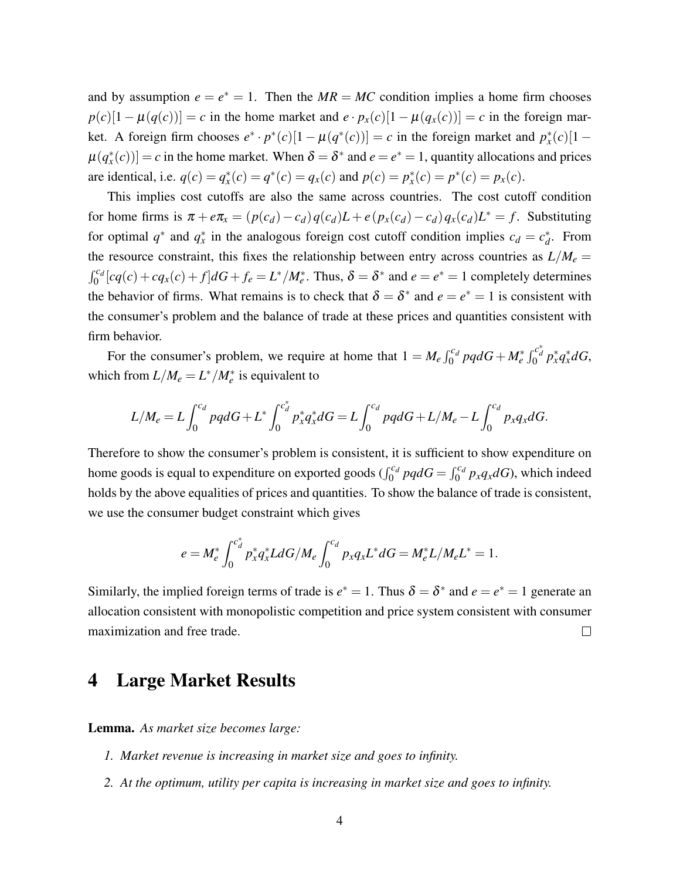and by assumption  $e = e^* = 1$ . Then the  $MR = MC$  condition implies a home firm chooses  $p(c)[1 - \mu(q(c))] = c$  in the home market and  $e \cdot p_x(c)[1 - \mu(q_x(c))] = c$  in the foreign market. A foreign firm chooses  $e^* \cdot p^*(c)[1 - \mu(q^*(c))] = c$  in the foreign market and  $p_x^*(c)[1 \mu(q^*_x(c))] = c$  in the home market. When  $\delta = \delta^*$  and  $e = e^* = 1$ , quantity allocations and prices are identical, i.e.  $q(c) = q_x^*(c) = q^*(c) = q_x(c)$  and  $p(c) = p_x^*(c) = p^*(c) = p_x(c)$ .

This implies cost cutoffs are also the same across countries. The cost cutoff condition for home firms is  $\pi + e\pi_x = (p(c_d) - c_d)q(c_d)L + e(p_x(c_d) - c_d)q_x(c_d)L^* = f$ . Substituting for optimal  $q^*$  and  $q^*$  in the analogous foreign cost cutoff condition implies  $c_d = c_d^*$ *d* . From the resource constraint, this fixes the relationship between entry across countries as  $L/M_e =$  $\int_0^{c_d} [cq(c) + cq_x(c) + f] dG + f_e = L^* / M_e^*$ . Thus,  $\delta = \delta^*$  and  $e = e^* = 1$  completely determines the behavior of firms. What remains is to check that  $\delta = \delta^*$  and  $e = e^* = 1$  is consistent with the consumer's problem and the balance of trade at these prices and quantities consistent with firm behavior.

For the consumer's problem, we require at home that  $1 = M_e \int_0^{c_d} pq dG + M_e^* \int_0^{c_d^*} p_x^* q_x^* dG$ , which from  $L/M_e = L^*/M_e^*$  is equivalent to

$$
L/M_e = L \int_0^{c_d} pq dG + L^* \int_0^{c_d^*} p_x^* q_x^* dG = L \int_0^{c_d} pq dG + L/M_e - L \int_0^{c_d} p_x q_x dG.
$$

Therefore to show the consumer's problem is consistent, it is sufficient to show expenditure on home goods is equal to expenditure on exported goods ( $\int_0^{c_d} pqdG = \int_0^{c_d} p_xq_x dG$ ), which indeed holds by the above equalities of prices and quantities. To show the balance of trade is consistent, we use the consumer budget constraint which gives

$$
e = M_e^* \int_0^{c_d^*} p_x^* q_x^* L dG/M_e \int_0^{c_d} p_x q_x L^* dG = M_e^* L/M_e L^* = 1.
$$

Similarly, the implied foreign terms of trade is  $e^* = 1$ . Thus  $\delta = \delta^*$  and  $e = e^* = 1$  generate an allocation consistent with monopolistic competition and price system consistent with consumer maximization and free trade.  $\Box$ 

### 4 Large Market Results

Lemma. *As market size becomes large:*

- *1. Market revenue is increasing in market size and goes to infinity.*
- *2. At the optimum, utility per capita is increasing in market size and goes to infinity.*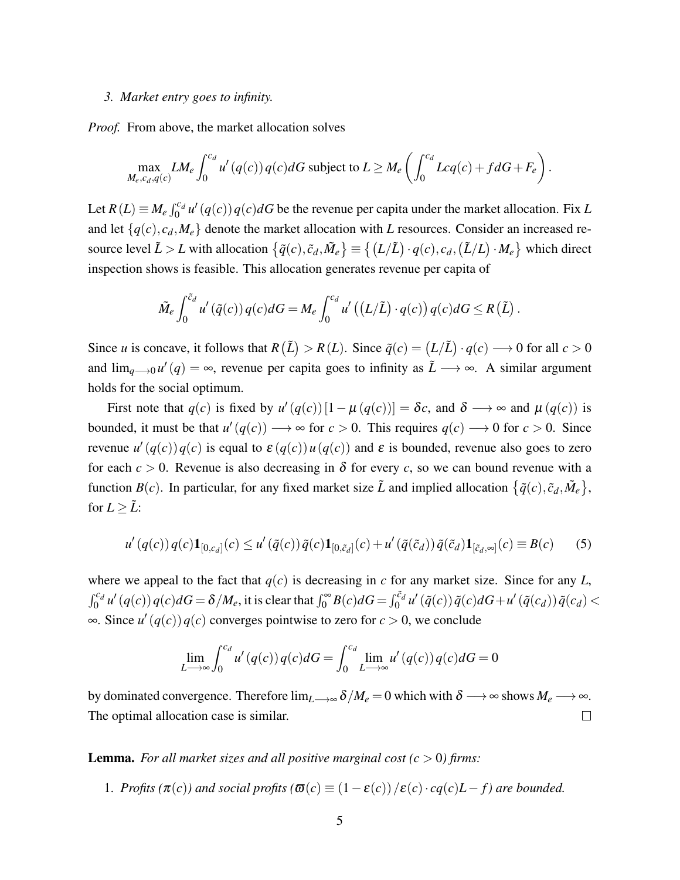#### *3. Market entry goes to infinity.*

*Proof.* From above, the market allocation solves

$$
\max_{M_e, c_d, q(c)} LM_e \int_0^{c_d} u'(q(c)) q(c) dG \text{ subject to } L \geq M_e \left( \int_0^{c_d} Lcq(c) + f dG + F_e \right).
$$

Let  $R(L) \equiv M_e \int_0^{c_d} u' (q(c)) q(c) dG$  be the revenue per capita under the market allocation. Fix *L* and let  $\{q(c), c_d, M_e\}$  denote the market allocation with *L* resources. Consider an increased resource level  $\tilde{L} > L$  with allocation  $\{\tilde{q}(c), \tilde{c}_d, \tilde{M}_e\} \equiv \{(L/\tilde{L}) \cdot q(c), c_d, (\tilde{L}/L) \cdot M_e\}$  which direct inspection shows is feasible. This allocation generates revenue per capita of

$$
\tilde{M}_e \int_0^{\tilde{c}_d} u'(\tilde{q}(c)) q(c) dG = M_e \int_0^{c_d} u'((L/\tilde{L}) \cdot q(c)) q(c) dG \le R(\tilde{L}).
$$

Since *u* is concave, it follows that  $R(\tilde{L}) > R(L)$ . Since  $\tilde{q}(c) = (L/\tilde{L}) \cdot q(c) \longrightarrow 0$  for all  $c > 0$ and  $\lim_{q\to 0} u'(q) = \infty$ , revenue per capita goes to infinity as  $\tilde{L} \longrightarrow \infty$ . A similar argument holds for the social optimum.

First note that  $q(c)$  is fixed by  $u'(q(c))[1-\mu(q(c))] = \delta c$ , and  $\delta \longrightarrow \infty$  and  $\mu(q(c))$  is bounded, it must be that  $u'(q(c)) \longrightarrow \infty$  for  $c > 0$ . This requires  $q(c) \longrightarrow 0$  for  $c > 0$ . Since revenue  $u'(q(c))q(c)$  is equal to  $\varepsilon(q(c))u(q(c))$  and  $\varepsilon$  is bounded, revenue also goes to zero for each  $c > 0$ . Revenue is also decreasing in  $\delta$  for every *c*, so we can bound revenue with a function  $B(c)$ . In particular, for any fixed market size  $\tilde{L}$  and implied allocation  $\{\tilde{q}(c), \tilde{c}_d, \tilde{M}_e\}$ , for  $L \geq \tilde{L}$ :

$$
u'(q(c))q(c)\mathbf{1}_{[0,c_d]}(c) \le u'(\tilde{q}(c))\tilde{q}(c)\mathbf{1}_{[0,\tilde{c}_d]}(c) + u'(\tilde{q}(\tilde{c}_d))\tilde{q}(\tilde{c}_d)\mathbf{1}_{[\tilde{c}_d,\infty]}(c) \equiv B(c) \tag{5}
$$

where we appeal to the fact that  $q(c)$  is decreasing in *c* for any market size. Since for any *L*,  $\int_0^{c_d} u'(q(c)) q(c) dG = \delta/M_e$ , it is clear that  $\int_0^{\infty} B(c) dG = \int_0^{\tilde{c}_d} u'( \tilde{q}(c)) \tilde{q}(c) dG + u'( \tilde{q}(c_d)) \tilde{q}(c_d) <$ ∞. Since  $u'(q(c))q(c)$  converges pointwise to zero for  $c > 0$ , we conclude

$$
\lim_{L \to \infty} \int_0^{c_d} u'(q(c)) q(c) dG = \int_0^{c_d} \lim_{L \to \infty} u'(q(c)) q(c) dG = 0
$$

by dominated convergence. Therefore  $\lim_{L\to\infty} \delta/M_e = 0$  which with  $\delta \to \infty$  shows  $M_e \to \infty$ . The optimal allocation case is similar.  $\Box$ 

**Lemma.** For all market sizes and all positive marginal cost  $(c > 0)$  firms:

1. *Profits* ( $\pi(c)$ ) and social profits ( $\sigma(c) \equiv (1 - \varepsilon(c))/\varepsilon(c) \cdot cq(c)L - f$ ) are bounded.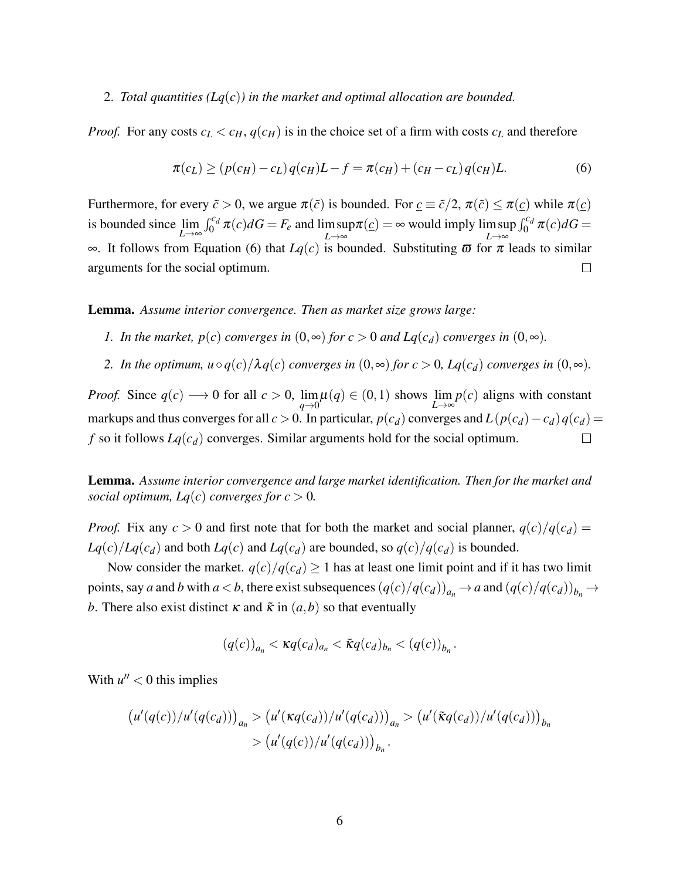#### 2. *Total quantities (Lq*(*c*)*) in the market and optimal allocation are bounded.*

*Proof.* For any costs  $c_L < c_H$ ,  $q(c_H)$  is in the choice set of a firm with costs  $c_L$  and therefore

<span id="page-5-0"></span>
$$
\pi(c_L) \ge (p(c_H) - c_L)q(c_H)L - f = \pi(c_H) + (c_H - c_L)q(c_H)L.
$$
\n(6)

Furthermore, for every  $\tilde{c} > 0$ , we argue  $\pi(\tilde{c})$  is bounded. For  $\underline{c} \equiv \tilde{c}/2$ ,  $\pi(\tilde{c}) \leq \pi(\underline{c})$  while  $\pi(\underline{c})$  $\int_0^{c_d} \pi(c) dG = F_e$  and lim sup  $\int_0^{c_d} \pi(c) dG$  = is bounded since lim *L*→∞  $\pi(\underline{c}) = \infty$  would imply lim sup *L*→∞ *L*→∞ ∞. It follows from Equation [\(6\)](#page-5-0) that *Lq*(*c*) is bounded. Substituting ϖ for π leads to similar  $\Box$ arguments for the social optimum.

Lemma. *Assume interior convergence. Then as market size grows large:*

- *1. In the market, p(c) converges in*  $(0, \infty)$  *for c > 0 and Lq(c<sub>d</sub>) converges in*  $(0, \infty)$ *.*
- *2. In the optimum,*  $u \circ q(c)/\lambda q(c)$  *converges in*  $(0, \infty)$  *for*  $c > 0$ *, Lq*( $c_d$ ) *converges in*  $(0, \infty)$ *.*

*Proof.* Since  $q(c) \rightarrow 0$  for all  $c > 0$ ,  $\lim_{q \to 0} \mu(q) \in (0, 1)$  shows  $\lim_{L \to \infty} p(c)$  aligns with constant markups and thus converges for all  $c > 0$ . In particular,  $p(c_d)$  converges and  $L(p(c_d) - c_d)q(c_d)$  $f$  so it follows  $Lq(c_d)$  converges. Similar arguments hold for the social optimum.  $\Box$ 

Lemma. *Assume interior convergence and large market identification. Then for the market and social optimum, Lq(c) converges for*  $c > 0$ *.* 

*Proof.* Fix any  $c > 0$  and first note that for both the market and social planner,  $q(c)/q(c_d)$  =  $Lq(c)/Lq(c_d)$  and both  $Lq(c)$  and  $Lq(c_d)$  are bounded, so  $q(c)/q(c_d)$  is bounded.

Now consider the market.  $q(c)/q(c_d) \ge 1$  has at least one limit point and if it has two limit points, say a and b with  $a < b$ , there exist subsequences  $(q(c)/q(c_d))_{a_n} \to a$  and  $(q(c)/q(c_d))_{b_n} \to a$ *b*. There also exist distinct  $\kappa$  and  $\tilde{\kappa}$  in  $(a,b)$  so that eventually

$$
(q(c))_{a_n} < \kappa q(c_d)_{a_n} < \tilde{\kappa} q(c_d)_{b_n} < (q(c))_{b_n}.
$$

With  $u'' < 0$  this implies

$$
(u'(q(c))/u'(q(c_d)))_{a_n} > (u'(\kappa q(c_d))/u'(q(c_d)))_{a_n} > (u'(\tilde{\kappa}q(c_d))/u'(q(c_d)))_{b_n}
$$
  
> 
$$
(u'(q(c))/u'(q(c_d)))_{b_n}.
$$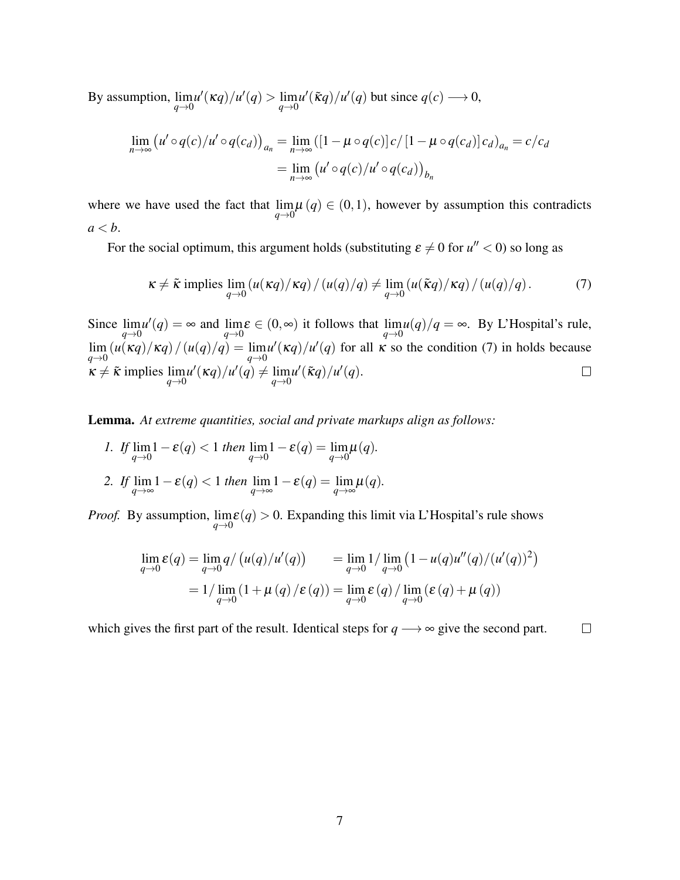By assumption,  $\lim_{q\to 0} u'(\kappa q)/u'(q) > \lim_{q\to 0} u'(\tilde{\kappa}q)/u'(q)$  but since  $q(c) \longrightarrow 0$ ,

$$
\lim_{n \to \infty} (u' \circ q(c)/u' \circ q(c_d))_{a_n} = \lim_{n \to \infty} ([1 - \mu \circ q(c)] c / [1 - \mu \circ q(c_d)] c_d)_{a_n} = c/c_d
$$

$$
= \lim_{n \to \infty} (u' \circ q(c)/u' \circ q(c_d))_{b_n}
$$

where we have used the fact that  $\lim_{q\to 0} \mu(q) \in (0,1)$ , however by assumption this contradicts  $a < b$ .

For the social optimum, this argument holds (substituting  $\varepsilon \neq 0$  for  $u'' < 0$ ) so long as

<span id="page-6-0"></span>
$$
\kappa \neq \tilde{\kappa} \text{ implies } \lim_{q \to 0} \left( u(\kappa q)/\kappa q \right) / \left( u(q)/q \right) \neq \lim_{q \to 0} \left( u(\tilde{\kappa} q)/\kappa q \right) / \left( u(q)/q \right). \tag{7}
$$

Since  $\lim_{q\to 0} u'(q) = \infty$  and  $\lim_{q\to 0} \varepsilon \in (0, \infty)$  it follows that  $\lim_{q\to 0} u(q)/q = \infty$ . By L'Hospital's rule,  $\lim_{q\to 0}$   $(u(\kappa q)/\kappa q)/u(q) = \lim_{q\to 0} u'(\kappa q)/u'(q)$  for all  $\kappa$  so the condition [\(7\)](#page-6-0) in holds because  $\kappa \neq \tilde{\kappa}$  implies  $\lim_{q \to 0} u'(\kappa q)/u'(q) \neq \lim_{q \to 0} u'(\tilde{\kappa}q)/u'(q)$ .

Lemma. *At extreme quantities, social and private markups align as follows:*

\n- 1. If 
$$
\lim_{q \to 0} 1 - \varepsilon(q) < 1
$$
 then  $\lim_{q \to 0} 1 - \varepsilon(q) = \lim_{q \to 0} \mu(q)$ .
\n- 2. If  $\lim_{q \to \infty} 1 - \varepsilon(q) < 1$  then  $\lim_{q \to \infty} 1 - \varepsilon(q) = \lim_{q \to \infty} \mu(q)$ .
\n

*Proof.* By assumption,  $\lim_{q \to 0} \varepsilon(q) > 0$ . Expanding this limit via L'Hospital's rule shows

$$
\lim_{q \to 0} \varepsilon(q) = \lim_{q \to 0} q / (u(q) / u'(q)) = \lim_{q \to 0} 1 / \lim_{q \to 0} (1 - u(q) u''(q) / (u'(q))^{2})
$$
  
=  $1 / \lim_{q \to 0} (1 + \mu(q) / \varepsilon(q)) = \lim_{q \to 0} \varepsilon(q) / \lim_{q \to 0} (\varepsilon(q) + \mu(q))$ 

which gives the first part of the result. Identical steps for  $q \rightarrow \infty$  give the second part.  $\Box$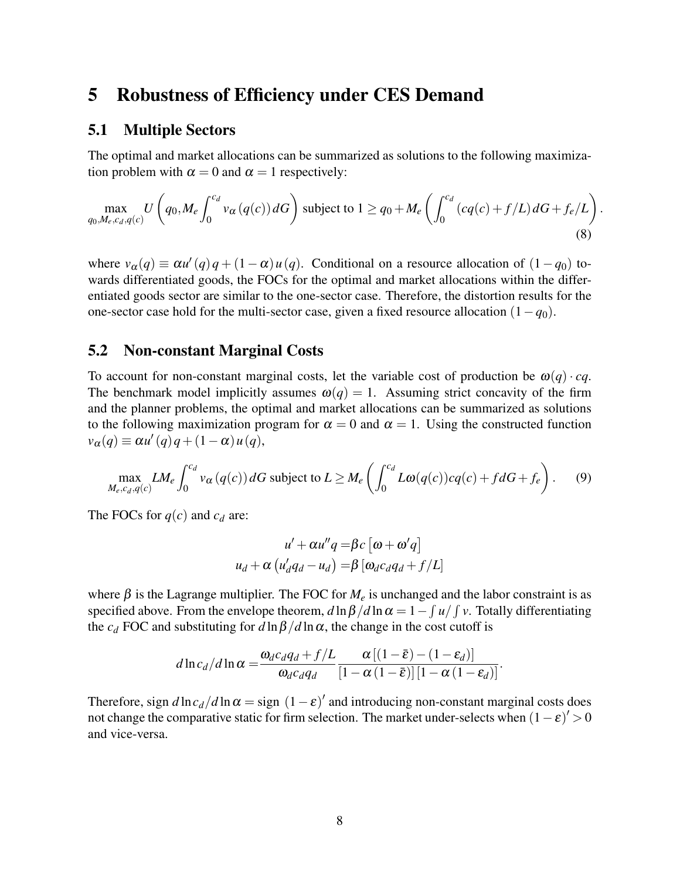### 5 Robustness of Efficiency under CES Demand

#### 5.1 Multiple Sectors

The optimal and market allocations can be summarized as solutions to the following maximization problem with  $\alpha = 0$  and  $\alpha = 1$  respectively:

$$
\max_{q_0, M_e, c_d, q(c)} U\left(q_0, M_e \int_0^{c_d} v_\alpha(q(c)) dG\right) \text{ subject to } 1 \ge q_0 + M_e \left(\int_0^{c_d} \left(cq(c) + f/L\right) dG + f_e/L\right). \tag{8}
$$

where  $v_{\alpha}(q) \equiv \alpha u'(q)q + (1 - \alpha)u(q)$ . Conditional on a resource allocation of  $(1 - q_0)$  towards differentiated goods, the FOCs for the optimal and market allocations within the differentiated goods sector are similar to the one-sector case. Therefore, the distortion results for the one-sector case hold for the multi-sector case, given a fixed resource allocation (1−*q*0).

#### 5.2 Non-constant Marginal Costs

To account for non-constant marginal costs, let the variable cost of production be  $\omega(q) \cdot cq$ . The benchmark model implicitly assumes  $\omega(q) = 1$ . Assuming strict concavity of the firm and the planner problems, the optimal and market allocations can be summarized as solutions to the following maximization program for  $\alpha = 0$  and  $\alpha = 1$ . Using the constructed function  $v_{\alpha}(q) \equiv \alpha u'(q)q + (1-\alpha)u(q),$ 

$$
\max_{M_e, c_d, q(c)} LM_e \int_0^{c_d} v_\alpha(q(c)) dG \text{ subject to } L \ge M_e \left( \int_0^{c_d} L\omega(q(c)) cq(c) + f dG + f_e \right). \tag{9}
$$

The FOCs for  $q(c)$  and  $c_d$  are:

$$
u' + \alpha u''q = \beta c \left[\omega + \omega'q\right]
$$

$$
u_d + \alpha \left(u'_d q_d - u_d\right) = \beta \left[\omega_d c_d q_d + f/L\right]
$$

where  $\beta$  is the Lagrange multiplier. The FOC for  $M_e$  is unchanged and the labor constraint is as specified above. From the envelope theorem,  $d \ln \beta / d \ln \alpha = 1 - \int u / \int v$ . Totally differentiating the  $c_d$  FOC and substituting for  $d \ln \beta / d \ln \alpha$ , the change in the cost cutoff is

$$
d\ln c_d/d\ln\alpha = \frac{\omega_d c_d q_d + f/L}{\omega_d c_d q_d} \frac{\alpha \left[ (1-\bar{\varepsilon}) - (1-\varepsilon_d) \right]}{\left[ 1-\alpha(1-\bar{\varepsilon}) \right] \left[ 1-\alpha(1-\varepsilon_d) \right]}.
$$

Therefore, sign  $d \ln c_d / d \ln \alpha =$  sign  $(1 - \varepsilon)'$  and introducing non-constant marginal costs does not change the comparative static for firm selection. The market under-selects when  $(1 - \varepsilon)' > 0$ and vice-versa.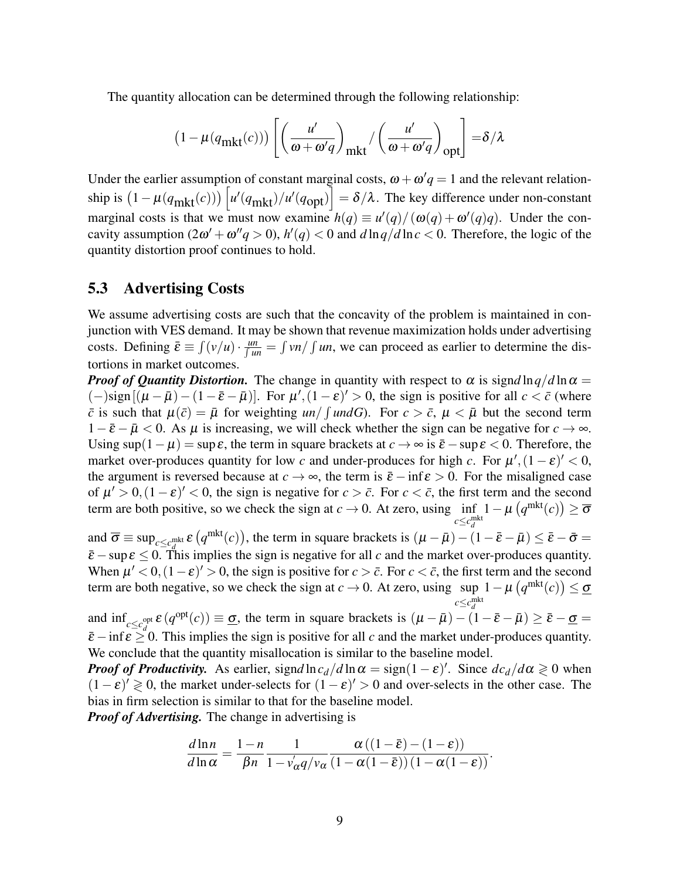The quantity allocation can be determined through the following relationship:

$$
(1 - \mu(q_{\text{mkt}}(c))) \left[ \left( \frac{u'}{\omega + \omega'q} \right)_{\text{mkt}} / \left( \frac{u'}{\omega + \omega'q} \right)_{\text{opt}} \right] = \delta/\lambda
$$

Under the earlier assumption of constant marginal costs,  $\omega + \omega' q = 1$  and the relevant relationship is  $(1 - \mu(q_{\text{mkt}}(c))) \left[ u'(q_{\text{mkt}})/u'(q_{\text{opt}}) \right] = \delta/\lambda$ . The key difference under non-constant marginal costs is that we must now examine  $h(q) \equiv u'(q)/(\omega(q) + \omega'(q)q)$ . Under the concavity assumption  $(2\omega' + \omega''q > 0)$ ,  $h'(q) < 0$  and  $d \ln q/d \ln c < 0$ . Therefore, the logic of the quantity distortion proof continues to hold.

#### 5.3 Advertising Costs

We assume advertising costs are such that the concavity of the problem is maintained in conjunction with VES demand. It may be shown that revenue maximization holds under advertising costs. Defining  $\bar{\varepsilon} \equiv \int (v/u) \cdot \frac{u_n}{\int u_n} = \int v_n / \int u_n$ , we can proceed as earlier to determine the distortions in market outcomes.

*Proof of Quantity Distortion.* The change in quantity with respect to  $\alpha$  is signd ln  $q/d \ln \alpha =$  $(-)\text{sign}[(\mu - \bar{\mu}) - (1 - \bar{\varepsilon} - \bar{\mu})]$ . For  $\mu'$ ,  $(1 - \varepsilon)' > 0$ , the sign is positive for all  $c < \bar{c}$  (where  $\bar{c}$  is such that  $\mu(\bar{c}) = \bar{\mu}$  for weighting  $un / \int undG$ ). For  $c > \bar{c}$ ,  $\mu < \bar{\mu}$  but the second term  $1-\bar{\varepsilon}-\bar{\mu}<0$ . As  $\mu$  is increasing, we will check whether the sign can be negative for  $c \to \infty$ . Using  $\sup(1-\mu) = \sup \varepsilon$ , the term in square brackets at  $c \to \infty$  is  $\bar{\varepsilon} - \sup \varepsilon < 0$ . Therefore, the market over-produces quantity for low *c* and under-produces for high *c*. For  $\mu'$ ,  $(1 - \varepsilon)' < 0$ , the argument is reversed because at  $c \to \infty$ , the term is  $\bar{\varepsilon}$  − inf  $\varepsilon > 0$ . For the misaligned case of  $\mu' > 0$ ,  $(1 - \varepsilon)' < 0$ , the sign is negative for  $c > \bar{c}$ . For  $c < \bar{c}$ , the first term and the second term are both positive, so we check the sign at  $c \rightarrow 0$ . At zero, using inf  $c \leq c_d^{\text{mkt}}$  $1 - \mu\left(q^{\text{mkt}}(c)\right) \geq \overline{\sigma}$ 

and  $\overline{\sigma} \equiv \sup_{c \leq c_d^{\text{mkt}}} \varepsilon (q^{\text{mkt}}(c))$ , the term in square brackets is  $(\mu - \bar{\mu}) - (1 - \bar{\varepsilon} - \bar{\mu}) \leq \bar{\varepsilon} - \bar{\sigma} =$  $\bar{\varepsilon}$  − sup $\varepsilon$  ≤ 0. This implies the sign is negative for all *c* and the market over-produces quantity. When  $\mu' < 0$ ,  $(1 - \varepsilon)' > 0$ , the sign is positive for  $c > \bar{c}$ . For  $c < \bar{c}$ , the first term and the second term are both negative, so we check the sign at  $c \to 0$ . At zero, using sup  $1 - \mu \left( q^{mkt}(c) \right) \le \underline{\sigma}$ 

 $c \leq c_d^{\text{mkt}}$ and  $\inf_{c \leq c_d^{\text{opt}}} \varepsilon (q^{\text{opt}}(c)) \equiv \underline{\sigma}$ , the term in square brackets is  $(\mu - \bar{\mu}) - (1 - \bar{\varepsilon} - \bar{\mu}) \geq \bar{\varepsilon} - \underline{\sigma} =$  $\bar{\varepsilon}$  − inf  $\varepsilon$   $\geq$  0. This implies the sign is positive for all *c* and the market under-produces quantity. We conclude that the quantity misallocation is similar to the baseline model.

*Proof of Productivity.* As earlier, signd  $\ln c_d / d \ln \alpha = \text{sign}(1 - \varepsilon)'$ . Since  $dc_d / d\alpha \geq 0$  when  $(1 - \varepsilon)^{7} \ge 0$ , the market under-selects for  $(1 - \varepsilon)^{7} > 0$  and over-selects in the other case. The bias in firm selection is similar to that for the baseline model.

*Proof of Advertising.* The change in advertising is

$$
\frac{d \ln n}{d \ln \alpha} = \frac{1-n}{\beta n} \frac{1}{1 - v_{\alpha}' q / v_{\alpha}} \frac{\alpha ((1-\bar{\varepsilon}) - (1-\varepsilon))}{(1 - \alpha(1-\bar{\varepsilon})) (1 - \alpha(1-\varepsilon))}.
$$